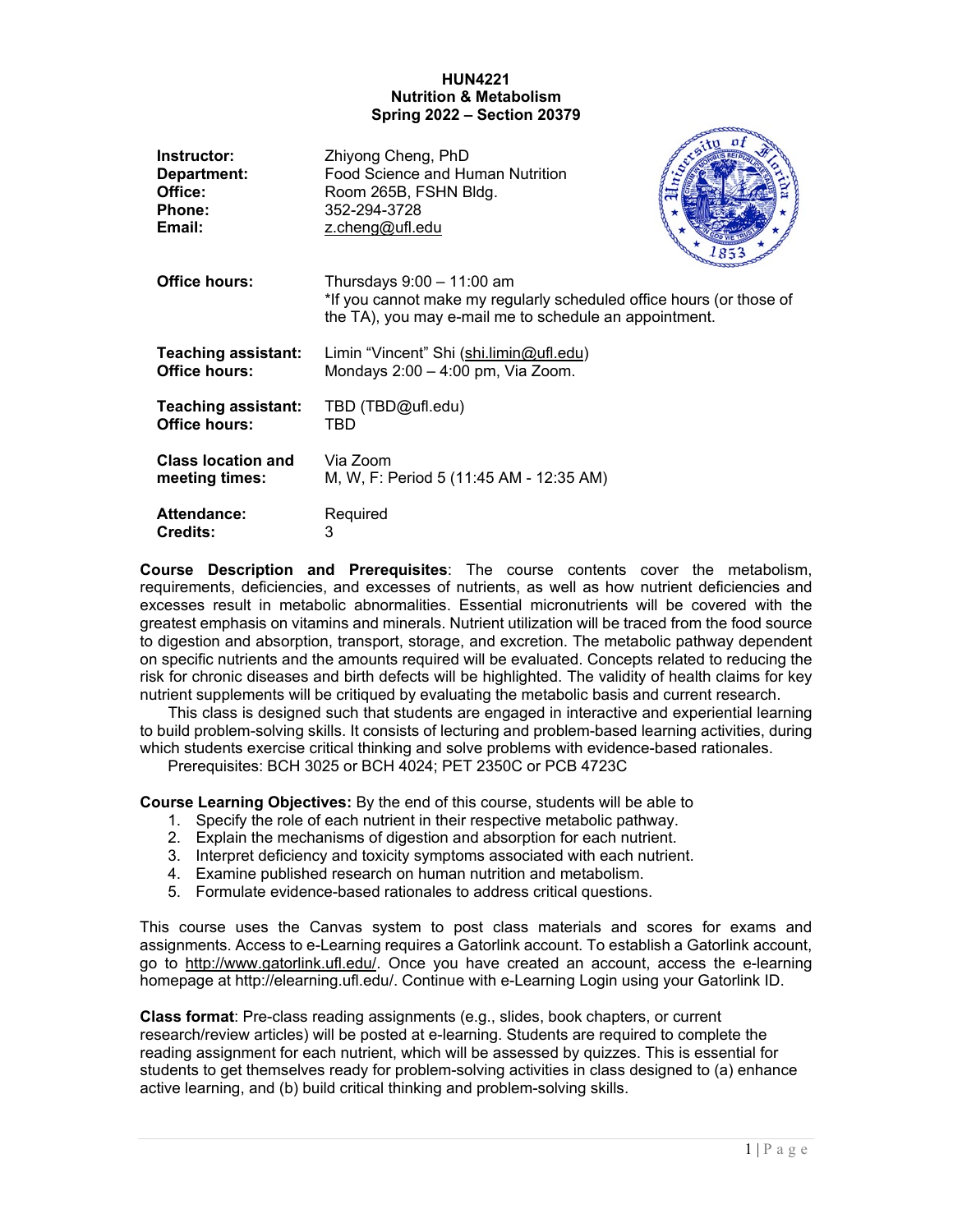### **HUN4221 Nutrition & Metabolism Spring 2022 – Section 20379**

| Instructor:                | Zhiyong Cheng, PhD                                                                                                                                            |
|----------------------------|---------------------------------------------------------------------------------------------------------------------------------------------------------------|
| Department:                | Food Science and Human Nutrition                                                                                                                              |
| Office:                    | Room 265B, FSHN Bldg.                                                                                                                                         |
| Phone:                     | 352-294-3728                                                                                                                                                  |
| Email:                     | z.cheng@ufl.edu                                                                                                                                               |
| Office hours:              | Thursdays $9:00 - 11:00$ am<br>*If you cannot make my regularly scheduled office hours (or those of<br>the TA), you may e-mail me to schedule an appointment. |
| <b>Teaching assistant:</b> | Limin "Vincent" Shi (shi.limin@ufl.edu)                                                                                                                       |
| Office hours:              | Mondays 2:00 - 4:00 pm, Via Zoom.                                                                                                                             |
| <b>Teaching assistant:</b> | TBD (TBD@ufl.edu)                                                                                                                                             |
| Office hours:              | TBD                                                                                                                                                           |
| <b>Class location and</b>  | Via Zoom                                                                                                                                                      |
| meeting times:             | M, W, F: Period 5 (11:45 AM - 12:35 AM)                                                                                                                       |
| Attendance:                | Required                                                                                                                                                      |
| <b>Credits:</b>            | 3                                                                                                                                                             |

**Course Description and Prerequisites**: The course contents cover the metabolism, requirements, deficiencies, and excesses of nutrients, as well as how nutrient deficiencies and excesses result in metabolic abnormalities. Essential micronutrients will be covered with the greatest emphasis on vitamins and minerals. Nutrient utilization will be traced from the food source to digestion and absorption, transport, storage, and excretion. The metabolic pathway dependent on specific nutrients and the amounts required will be evaluated. Concepts related to reducing the risk for chronic diseases and birth defects will be highlighted. The validity of health claims for key nutrient supplements will be critiqued by evaluating the metabolic basis and current research.

This class is designed such that students are engaged in interactive and experiential learning to build problem-solving skills. It consists of lecturing and problem-based learning activities, during which students exercise critical thinking and solve problems with evidence-based rationales.

Prerequisites: BCH 3025 or BCH 4024; PET 2350C or PCB 4723C

**Course Learning Objectives:** By the end of this course, students will be able to

- 1. Specify the role of each nutrient in their respective metabolic pathway.
- 2. Explain the mechanisms of digestion and absorption for each nutrient.
- 3. Interpret deficiency and toxicity symptoms associated with each nutrient.
- 4. Examine published research on human nutrition and metabolism.
- 5. Formulate evidence-based rationales to address critical questions.

This course uses the Canvas system to post class materials and scores for exams and assignments. Access to e-Learning requires a Gatorlink account. To establish a Gatorlink account, go to [http://www.gatorlink.ufl.edu/.](http://www.gatorlink.ufl.edu/) Once you have created an account, access the e-learning homepage at http://elearning.ufl.edu/. Continue with e-Learning Login using your Gatorlink ID.

**Class format**: Pre-class reading assignments (e.g., slides, book chapters, or current research/review articles) will be posted at e-learning. Students are required to complete the reading assignment for each nutrient, which will be assessed by quizzes. This is essential for students to get themselves ready for problem-solving activities in class designed to (a) enhance active learning, and (b) build critical thinking and problem-solving skills.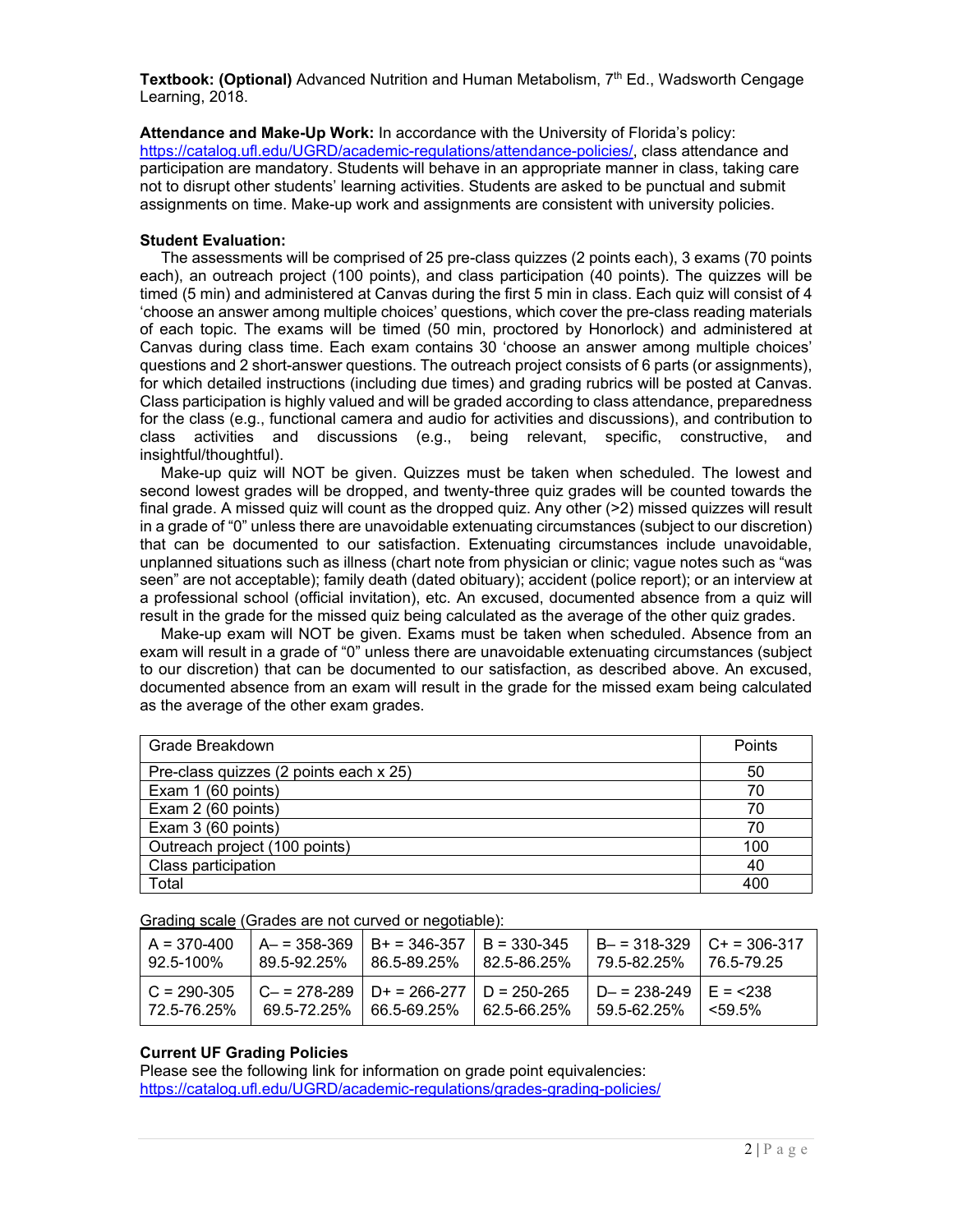Textbook: (Optional) Advanced Nutrition and Human Metabolism, 7<sup>th</sup> Ed., Wadsworth Cengage Learning, 2018.

**Attendance and Make-Up Work:** In accordance with the University of Florida's policy: [https://catalog.ufl.edu/UGRD/academic-regulations/attendance-policies/,](https://catalog.ufl.edu/UGRD/academic-regulations/attendance-policies/) class attendance and participation are mandatory. Students will behave in an appropriate manner in class, taking care not to disrupt other students' learning activities. Students are asked to be punctual and submit assignments on time. Make-up work and assignments are consistent with university policies.

### **Student Evaluation:**

The assessments will be comprised of 25 pre-class quizzes (2 points each), 3 exams (70 points each), an outreach project (100 points), and class participation (40 points). The quizzes will be timed (5 min) and administered at Canvas during the first 5 min in class. Each quiz will consist of 4 'choose an answer among multiple choices' questions, which cover the pre-class reading materials of each topic. The exams will be timed (50 min, proctored by Honorlock) and administered at Canvas during class time. Each exam contains 30 'choose an answer among multiple choices' questions and 2 short-answer questions. The outreach project consists of 6 parts (or assignments), for which detailed instructions (including due times) and grading rubrics will be posted at Canvas. Class participation is highly valued and will be graded according to class attendance, preparedness for the class (e.g., functional camera and audio for activities and discussions), and contribution to class activities and discussions (e.g., being relevant, specific, constructive, and activities and discussions (e.g., being relevant, specific, constructive, and insightful/thoughtful).

Make-up quiz will NOT be given. Quizzes must be taken when scheduled. The lowest and second lowest grades will be dropped, and twenty-three quiz grades will be counted towards the final grade. A missed quiz will count as the dropped quiz. Any other (>2) missed quizzes will result in a grade of "0" unless there are unavoidable extenuating circumstances (subject to our discretion) that can be documented to our satisfaction. Extenuating circumstances include unavoidable, unplanned situations such as illness (chart note from physician or clinic; vague notes such as "was seen" are not acceptable); family death (dated obituary); accident (police report); or an interview at a professional school (official invitation), etc. An excused, documented absence from a quiz will result in the grade for the missed quiz being calculated as the average of the other quiz grades.

Make-up exam will NOT be given. Exams must be taken when scheduled. Absence from an exam will result in a grade of "0" unless there are unavoidable extenuating circumstances (subject to our discretion) that can be documented to our satisfaction, as described above. An excused, documented absence from an exam will result in the grade for the missed exam being calculated as the average of the other exam grades.

| Grade Breakdown                        | Points |
|----------------------------------------|--------|
| Pre-class quizzes (2 points each x 25) | 50     |
| Exam 1 (60 points)                     | 70     |
| Exam 2 (60 points)                     | 70     |
| Exam 3 (60 points)                     | 70     |
| Outreach project (100 points)          | 100    |
| Class participation                    | 40     |
| Total                                  | 400    |

Grading scale (Grades are not curved or negotiable):

| $A = 370-400$<br>  92.5-100%   | 89.5-92.25% | $A = 358-369$   B+ = 346-357   B = 330-345<br>$186.5 - 89.25\%$ 82.5-86.25% |             | $B = 318-329$ $C = 306-317$<br>  79.5-82.25%   76.5-79.25 |              |
|--------------------------------|-------------|-----------------------------------------------------------------------------|-------------|-----------------------------------------------------------|--------------|
| $C = 290-305$<br>  72.5-76.25% |             | $C = 278-289$   D+ = 266-277   D = 250-265<br>69.5-72.25% 66.5-69.25%       | 62.5-66.25% | $D - = 238 - 249$   E = <238<br>59.5-62.25%               | $1$ < 5.9 5% |

## **Current UF Grading Policies**

Please see the following link for information on grade point equivalencies: <https://catalog.ufl.edu/UGRD/academic-regulations/grades-grading-policies/>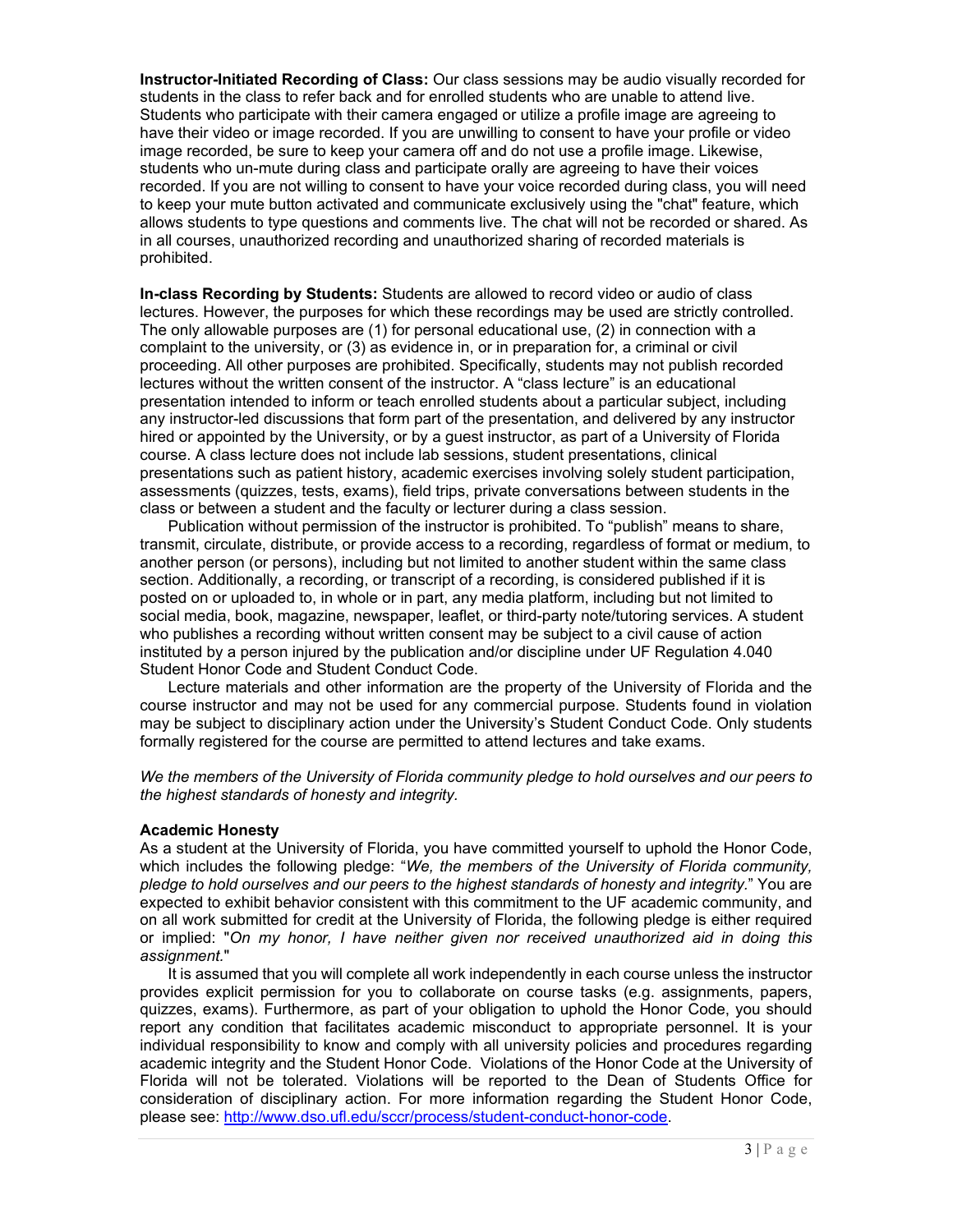**Instructor-Initiated Recording of Class:** Our class sessions may be audio visually recorded for students in the class to refer back and for enrolled students who are unable to attend live. Students who participate with their camera engaged or utilize a profile image are agreeing to have their video or image recorded. If you are unwilling to consent to have your profile or video image recorded, be sure to keep your camera off and do not use a profile image. Likewise, students who un-mute during class and participate orally are agreeing to have their voices recorded. If you are not willing to consent to have your voice recorded during class, you will need to keep your mute button activated and communicate exclusively using the "chat" feature, which allows students to type questions and comments live. The chat will not be recorded or shared. As in all courses, unauthorized recording and unauthorized sharing of recorded materials is prohibited.

**In-class Recording by Students:** Students are allowed to record video or audio of class lectures. However, the purposes for which these recordings may be used are strictly controlled. The only allowable purposes are (1) for personal educational use, (2) in connection with a complaint to the university, or (3) as evidence in, or in preparation for, a criminal or civil proceeding. All other purposes are prohibited. Specifically, students may not publish recorded lectures without the written consent of the instructor. A "class lecture" is an educational presentation intended to inform or teach enrolled students about a particular subject, including any instructor-led discussions that form part of the presentation, and delivered by any instructor hired or appointed by the University, or by a guest instructor, as part of a University of Florida course. A class lecture does not include lab sessions, student presentations, clinical presentations such as patient history, academic exercises involving solely student participation, assessments (quizzes, tests, exams), field trips, private conversations between students in the class or between a student and the faculty or lecturer during a class session.

Publication without permission of the instructor is prohibited. To "publish" means to share, transmit, circulate, distribute, or provide access to a recording, regardless of format or medium, to another person (or persons), including but not limited to another student within the same class section. Additionally, a recording, or transcript of a recording, is considered published if it is posted on or uploaded to, in whole or in part, any media platform, including but not limited to social media, book, magazine, newspaper, leaflet, or third-party note/tutoring services. A student who publishes a recording without written consent may be subject to a civil cause of action instituted by a person injured by the publication and/or discipline under UF Regulation 4.040 Student Honor Code and Student Conduct Code.

Lecture materials and other information are the property of the University of Florida and the course instructor and may not be used for any commercial purpose. Students found in violation may be subject to disciplinary action under the University's Student Conduct Code. Only students formally registered for the course are permitted to attend lectures and take exams.

*We the members of the University of Florida community pledge to hold ourselves and our peers to the highest standards of honesty and integrity.*

### **Academic Honesty**

As a student at the University of Florida, you have committed yourself to uphold the Honor Code, which includes the following pledge: "*We, the members of the University of Florida community, pledge to hold ourselves and our peers to the highest standards of honesty and integrity.*" You are expected to exhibit behavior consistent with this commitment to the UF academic community, and on all work submitted for credit at the University of Florida, the following pledge is either required or implied: "*On my honor, I have neither given nor received unauthorized aid in doing this assignment.*"

It is assumed that you will complete all work independently in each course unless the instructor provides explicit permission for you to collaborate on course tasks (e.g. assignments, papers, quizzes, exams). Furthermore, as part of your obligation to uphold the Honor Code, you should report any condition that facilitates academic misconduct to appropriate personnel. It is your individual responsibility to know and comply with all university policies and procedures regarding academic integrity and the Student Honor Code. Violations of the Honor Code at the University of Florida will not be tolerated. Violations will be reported to the Dean of Students Office for consideration of disciplinary action. For more information regarding the Student Honor Code, please see: [http://www.dso.ufl.edu/sccr/process/student-conduct-honor-code.](http://www.dso.ufl.edu/sccr/process/student-conduct-honor-code)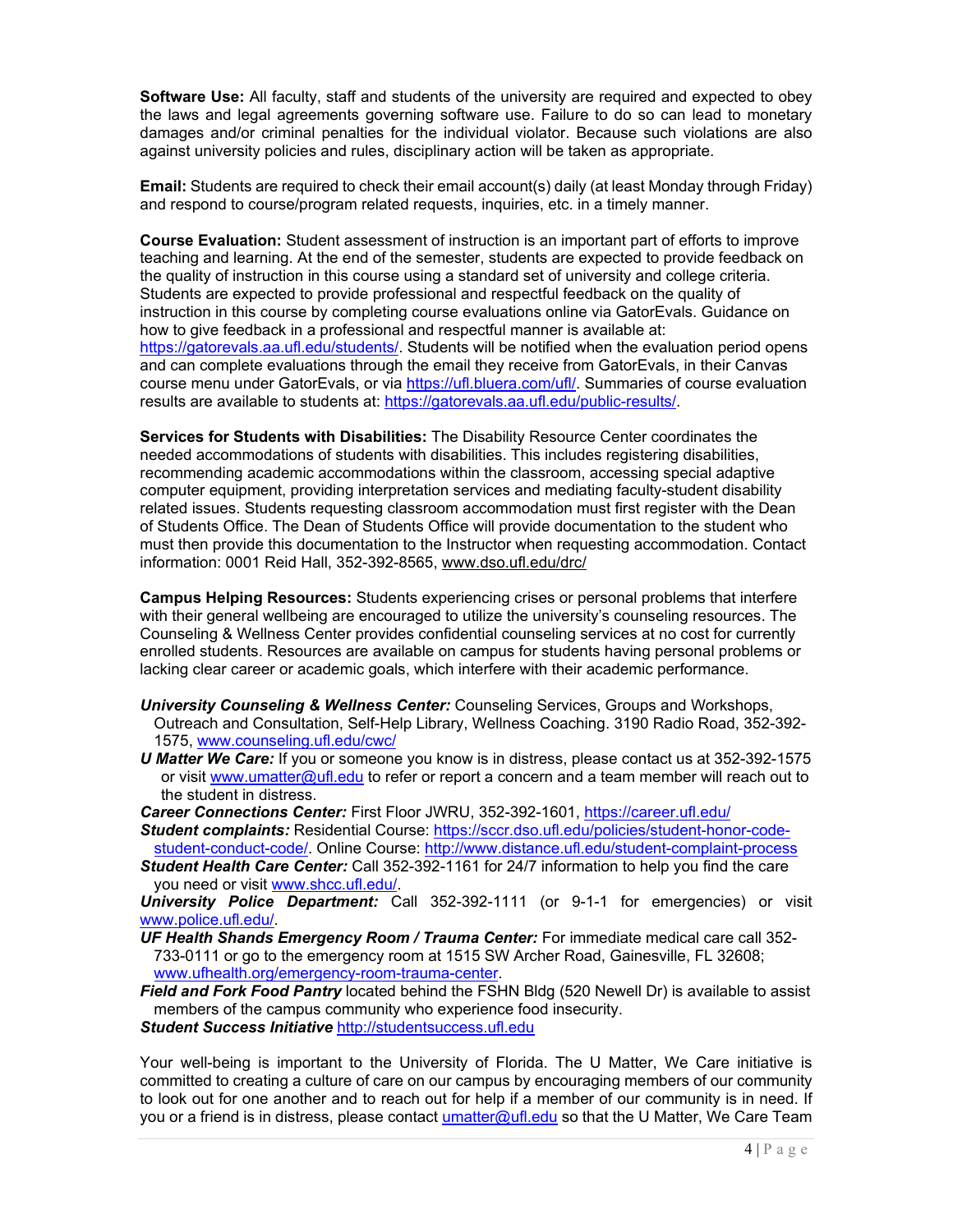**Software Use:** All faculty, staff and students of the university are required and expected to obey the laws and legal agreements governing software use. Failure to do so can lead to monetary damages and/or criminal penalties for the individual violator. Because such violations are also against university policies and rules, disciplinary action will be taken as appropriate.

**Email:** Students are required to check their email account(s) daily (at least Monday through Friday) and respond to course/program related requests, inquiries, etc. in a timely manner.

**Course Evaluation:** Student assessment of instruction is an important part of efforts to improve teaching and learning. At the end of the semester, students are expected to provide feedback on the quality of instruction in this course using a standard set of university and college criteria. Students are expected to provide professional and respectful feedback on the quality of instruction in this course by completing course evaluations online via GatorEvals. Guidance on how to give feedback in a professional and respectful manner is available at: [https://gatorevals.aa.ufl.edu/students/.](https://gatorevals.aa.ufl.edu/students/) Students will be notified when the evaluation period opens and can complete evaluations through the email they receive from GatorEvals, in their Canvas course menu under GatorEvals, or via [https://ufl.bluera.com/ufl/.](https://ufl.bluera.com/ufl/) Summaries of course evaluation results are available to students at: [https://gatorevals.aa.ufl.edu/public-results/.](https://gatorevals.aa.ufl.edu/public-results/)

**Services for Students with Disabilities:** The Disability Resource Center coordinates the needed accommodations of students with disabilities. This includes registering disabilities, recommending academic accommodations within the classroom, accessing special adaptive computer equipment, providing interpretation services and mediating faculty-student disability related issues. Students requesting classroom accommodation must first register with the Dean of Students Office. The Dean of Students Office will provide documentation to the student who must then provide this documentation to the Instructor when requesting accommodation. Contact information: 0001 Reid Hall, 352-392-8565, [www.dso.ufl.edu/drc/](http://www.dso.ufl.edu/drc/)

**Campus Helping Resources:** Students experiencing crises or personal problems that interfere with their general wellbeing are encouraged to utilize the university's counseling resources. The Counseling & Wellness Center provides confidential counseling services at no cost for currently enrolled students. Resources are available on campus for students having personal problems or lacking clear career or academic goals, which interfere with their academic performance.

- *University Counseling & Wellness Center:* Counseling Services, Groups and Workshops, Outreach and Consultation, Self-Help Library, Wellness Coaching. 3190 Radio Road, 352-392- 1575, [www.counseling.ufl.edu/cwc/](http://www.counseling.ufl.edu/cwc/)
- *U Matter We Care:* If you or someone you know is in distress, please contact us at 352-392-1575 or visit [www.umatter@ufl.edu](http://www.umatter@ufl.edu) to refer or report a concern and a team member will reach out to the student in distress.

*Career Connections Center:* First Floor JWRU, 352-392-1601,<https://career.ufl.edu/>

*Student complaints:* Residential Course: [https://sccr.dso.ufl.edu/policies/student-honor-code-](https://sccr.dso.ufl.edu/policies/student-honor-code-student-conduct-code/)

[student-conduct-code/.](https://sccr.dso.ufl.edu/policies/student-honor-code-student-conduct-code/) Online Course:<http://www.distance.ufl.edu/student-complaint-process> *Student Health Care Center:* Call 352-392-1161 for 24/7 information to help you find the care you need or visit [www.shcc.ufl.edu/.](http://www.shcc.ufl.edu/)

*University Police Department:* Call 352-392-1111 (or 9-1-1 for emergencies) or visit [www.police.ufl.edu/.](http://www.police.ufl.edu/)

- *UF Health Shands Emergency Room / Trauma Center:* For immediate medical care call 352- 733-0111 or go to the emergency room at 1515 SW Archer Road, Gainesville, FL 32608; [www.ufhealth.org/emergency-room-trauma-center.](http://www.ufhealth.org/emergency-room-trauma-center)
- *Field and Fork Food Pantry* located behind the FSHN Bldg (520 Newell Dr) is available to assist members of the campus community who experience food insecurity. *Student Success Initiative* [http://studentsuccess.ufl.edu](http://studentsuccess.ufl.edu/)

Your well-being is important to the University of Florida. The U Matter, We Care initiative is committed to creating a culture of care on our campus by encouraging members of our community to look out for one another and to reach out for help if a member of our community is in need. If you or a friend is in distress, please contact [umatter@ufl.edu](mailto:umatter@ufl.edu) so that the U Matter, We Care Team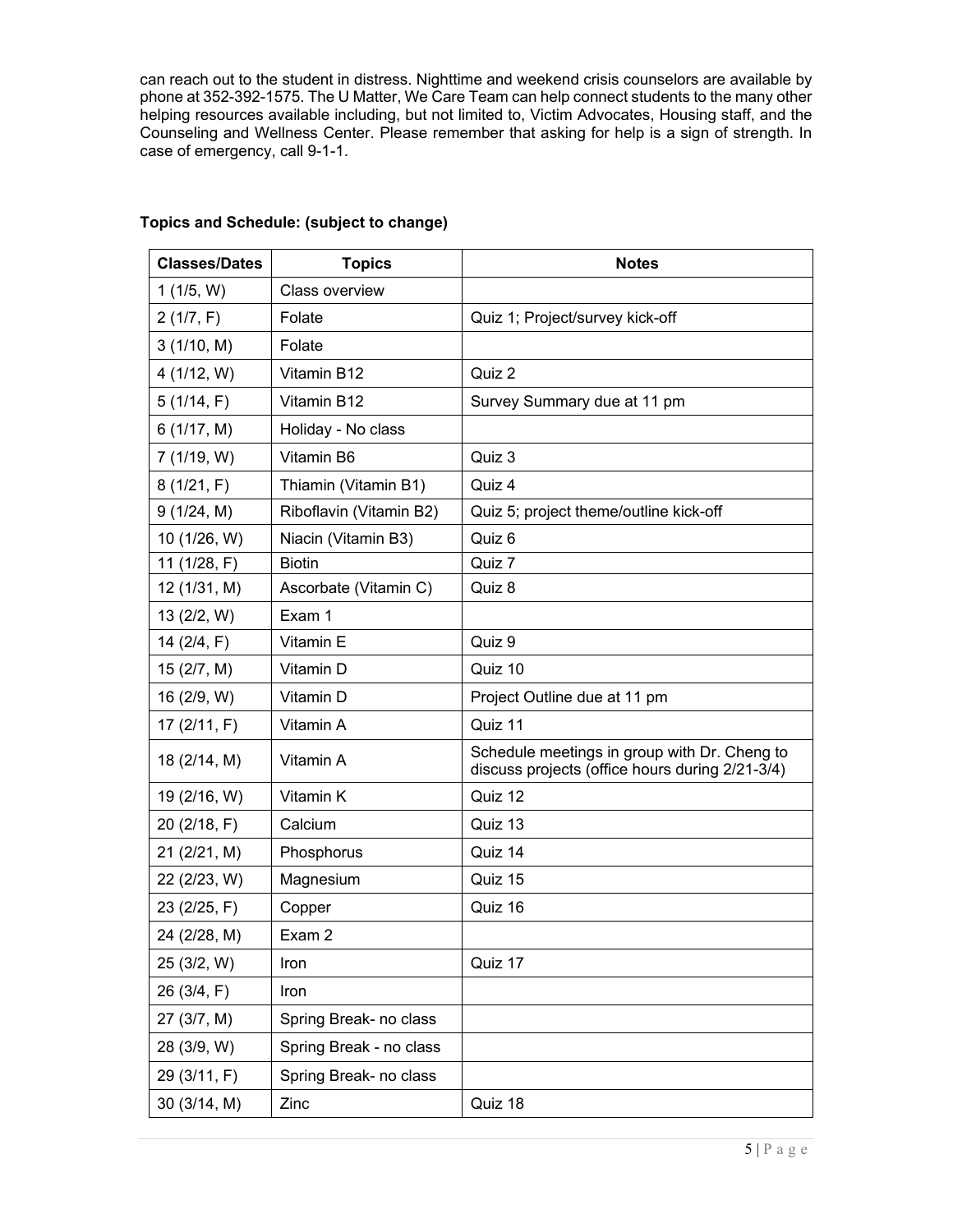can reach out to the student in distress. Nighttime and weekend crisis counselors are available by phone at 352-392-1575. The U Matter, We Care Team can help connect students to the many other helping resources available including, but not limited to, Victim Advocates, Housing staff, and the Counseling and Wellness Center. Please remember that asking for help is a sign of strength. In case of emergency, call 9-1-1.

| <b>Classes/Dates</b> | <b>Topics</b>           | <b>Notes</b>                                                                                    |
|----------------------|-------------------------|-------------------------------------------------------------------------------------------------|
| 1(1/5, W)            | <b>Class overview</b>   |                                                                                                 |
| 2(1/7, F)            | Folate                  | Quiz 1; Project/survey kick-off                                                                 |
| 3(1/10, M)           | Folate                  |                                                                                                 |
| 4 (1/12, W)          | Vitamin B12             | Quiz 2                                                                                          |
| 5(1/14, F)           | Vitamin B12             | Survey Summary due at 11 pm                                                                     |
| 6(1/17, M)           | Holiday - No class      |                                                                                                 |
| 7(1/19, W)           | Vitamin B6              | Quiz 3                                                                                          |
| 8(1/21, F)           | Thiamin (Vitamin B1)    | Quiz 4                                                                                          |
| 9(1/24, M)           | Riboflavin (Vitamin B2) | Quiz 5; project theme/outline kick-off                                                          |
| 10 (1/26, W)         | Niacin (Vitamin B3)     | Quiz 6                                                                                          |
| 11 (1/28, F)         | <b>Biotin</b>           | Quiz 7                                                                                          |
| 12 (1/31, M)         | Ascorbate (Vitamin C)   | Quiz 8                                                                                          |
| 13 (2/2, W)          | Exam 1                  |                                                                                                 |
| 14 $(2/4, F)$        | Vitamin E               | Quiz 9                                                                                          |
| 15 (2/7, M)          | Vitamin D               | Quiz 10                                                                                         |
| 16 (2/9, W)          | Vitamin D               | Project Outline due at 11 pm                                                                    |
| 17 $(2/11, F)$       | Vitamin A               | Quiz 11                                                                                         |
| 18 (2/14, M)         | Vitamin A               | Schedule meetings in group with Dr. Cheng to<br>discuss projects (office hours during 2/21-3/4) |
| 19 (2/16, W)         | Vitamin K               | Quiz 12                                                                                         |
| 20 (2/18, F)         | Calcium                 | Quiz 13                                                                                         |
| 21 (2/21, M)         | Phosphorus              | Quiz 14                                                                                         |
| 22 (2/23, W)         | Magnesium               | Quiz 15                                                                                         |
| 23 (2/25, F)         | Copper                  | Quiz 16                                                                                         |
| 24 (2/28, M)         | Exam 2                  |                                                                                                 |
| 25 (3/2, W)          | Iron                    | Quiz 17                                                                                         |
| 26 (3/4, F)          | Iron                    |                                                                                                 |
| 27 (3/7, M)          | Spring Break- no class  |                                                                                                 |
| 28 (3/9, W)          | Spring Break - no class |                                                                                                 |
| 29 (3/11, F)         | Spring Break- no class  |                                                                                                 |
| 30 (3/14, M)         | Zinc                    | Quiz 18                                                                                         |

# **Topics and Schedule: (subject to change)**